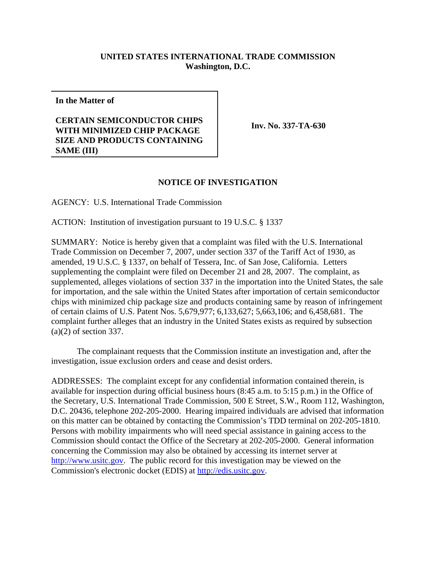## **UNITED STATES INTERNATIONAL TRADE COMMISSION Washington, D.C.**

**In the Matter of**

## **CERTAIN SEMICONDUCTOR CHIPS WITH MINIMIZED CHIP PACKAGE SIZE AND PRODUCTS CONTAINING SAME (III)**

**Inv. No. 337-TA-630**

## **NOTICE OF INVESTIGATION**

AGENCY: U.S. International Trade Commission

ACTION: Institution of investigation pursuant to 19 U.S.C. § 1337

SUMMARY: Notice is hereby given that a complaint was filed with the U.S. International Trade Commission on December 7, 2007, under section 337 of the Tariff Act of 1930, as amended, 19 U.S.C. § 1337, on behalf of Tessera, Inc. of San Jose, California. Letters supplementing the complaint were filed on December 21 and 28, 2007. The complaint, as supplemented, alleges violations of section 337 in the importation into the United States, the sale for importation, and the sale within the United States after importation of certain semiconductor chips with minimized chip package size and products containing same by reason of infringement of certain claims of U.S. Patent Nos. 5,679,977; 6,133,627; 5,663,106; and 6,458,681. The complaint further alleges that an industry in the United States exists as required by subsection (a)(2) of section 337.

The complainant requests that the Commission institute an investigation and, after the investigation, issue exclusion orders and cease and desist orders.

ADDRESSES: The complaint except for any confidential information contained therein, is available for inspection during official business hours (8:45 a.m. to 5:15 p.m.) in the Office of the Secretary, U.S. International Trade Commission, 500 E Street, S.W., Room 112, Washington, D.C. 20436, telephone 202-205-2000. Hearing impaired individuals are advised that information on this matter can be obtained by contacting the Commission's TDD terminal on 202-205-1810. Persons with mobility impairments who will need special assistance in gaining access to the Commission should contact the Office of the Secretary at 202-205-2000. General information concerning the Commission may also be obtained by accessing its internet server at http://www.usitc.gov. The public record for this investigation may be viewed on the Commission's electronic docket (EDIS) at http://edis.usitc.gov.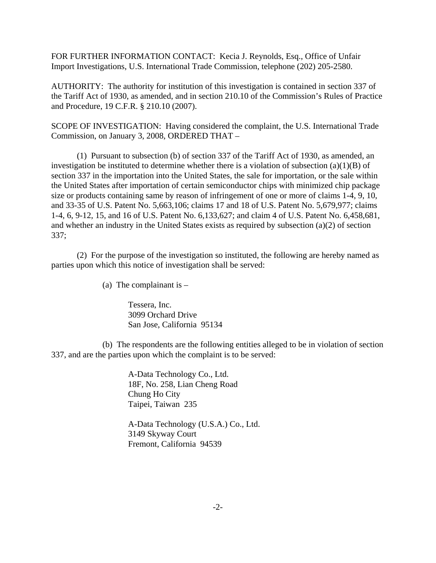FOR FURTHER INFORMATION CONTACT: Kecia J. Reynolds, Esq., Office of Unfair Import Investigations, U.S. International Trade Commission, telephone (202) 205-2580.

AUTHORITY: The authority for institution of this investigation is contained in section 337 of the Tariff Act of 1930, as amended, and in section 210.10 of the Commission's Rules of Practice and Procedure, 19 C.F.R. § 210.10 (2007).

SCOPE OF INVESTIGATION: Having considered the complaint, the U.S. International Trade Commission, on January 3, 2008, ORDERED THAT –

(1) Pursuant to subsection (b) of section 337 of the Tariff Act of 1930, as amended, an investigation be instituted to determine whether there is a violation of subsection (a)(1)(B) of section 337 in the importation into the United States, the sale for importation, or the sale within the United States after importation of certain semiconductor chips with minimized chip package size or products containing same by reason of infringement of one or more of claims 1-4, 9, 10, and 33-35 of U.S. Patent No. 5,663,106; claims 17 and 18 of U.S. Patent No. 5,679,977; claims 1-4, 6, 9-12, 15, and 16 of U.S. Patent No. 6,133,627; and claim 4 of U.S. Patent No. 6,458,681, and whether an industry in the United States exists as required by subsection (a)(2) of section 337;

(2) For the purpose of the investigation so instituted, the following are hereby named as parties upon which this notice of investigation shall be served:

(a) The complainant is  $-$ 

Tessera, Inc. 3099 Orchard Drive San Jose, California 95134

(b) The respondents are the following entities alleged to be in violation of section 337, and are the parties upon which the complaint is to be served:

> A-Data Technology Co., Ltd. 18F, No. 258, Lian Cheng Road Chung Ho City Taipei, Taiwan 235

A-Data Technology (U.S.A.) Co., Ltd. 3149 Skyway Court Fremont, California 94539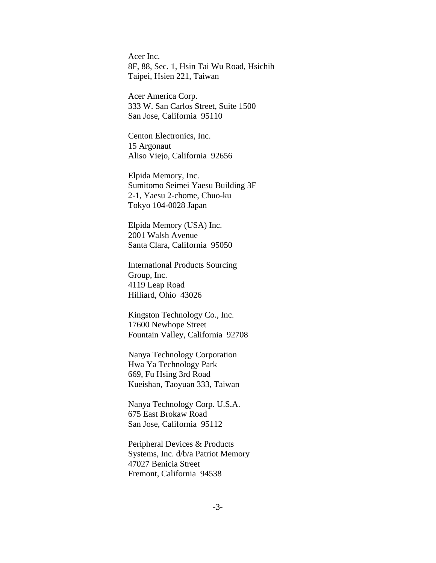Acer Inc. 8F, 88, Sec. 1, Hsin Tai Wu Road, Hsichih Taipei, Hsien 221, Taiwan

Acer America Corp. 333 W. San Carlos Street, Suite 1500 San Jose, California 95110

Centon Electronics, Inc. 15 Argonaut Aliso Viejo, California 92656

Elpida Memory, Inc. Sumitomo Seimei Yaesu Building 3F 2-1, Yaesu 2-chome, Chuo-ku Tokyo 104-0028 Japan

Elpida Memory (USA) Inc. 2001 Walsh Avenue Santa Clara, California 95050

International Products Sourcing Group, Inc. 4119 Leap Road Hilliard, Ohio 43026

Kingston Technology Co., Inc. 17600 Newhope Street Fountain Valley, California 92708

Nanya Technology Corporation Hwa Ya Technology Park 669, Fu Hsing 3rd Road Kueishan, Taoyuan 333, Taiwan

Nanya Technology Corp. U.S.A. 675 East Brokaw Road San Jose, California 95112

Peripheral Devices & Products Systems, Inc. d/b/a Patriot Memory 47027 Benicia Street Fremont, California 94538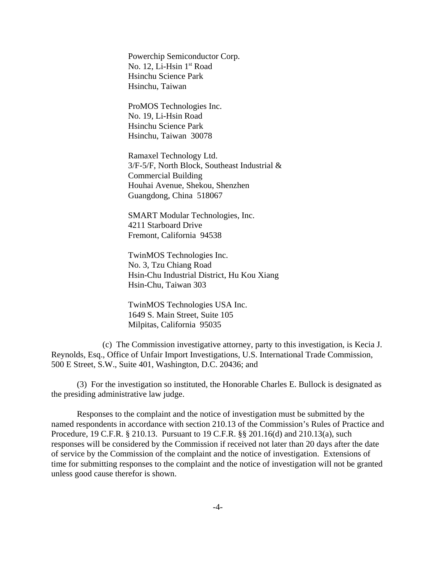Powerchip Semiconductor Corp. No. 12, Li-Hsin 1st Road Hsinchu Science Park Hsinchu, Taiwan

ProMOS Technologies Inc. No. 19, Li-Hsin Road Hsinchu Science Park Hsinchu, Taiwan 30078

Ramaxel Technology Ltd. 3/F-5/F, North Block, Southeast Industrial & Commercial Building Houhai Avenue, Shekou, Shenzhen Guangdong, China 518067

SMART Modular Technologies, Inc. 4211 Starboard Drive Fremont, California 94538

TwinMOS Technologies Inc. No. 3, Tzu Chiang Road Hsin-Chu Industrial District, Hu Kou Xiang Hsin-Chu, Taiwan 303

TwinMOS Technologies USA Inc. 1649 S. Main Street, Suite 105 Milpitas, California 95035

(c) The Commission investigative attorney, party to this investigation, is Kecia J. Reynolds, Esq., Office of Unfair Import Investigations, U.S. International Trade Commission, 500 E Street, S.W., Suite 401, Washington, D.C. 20436; and

(3) For the investigation so instituted, the Honorable Charles E. Bullock is designated as the presiding administrative law judge.

Responses to the complaint and the notice of investigation must be submitted by the named respondents in accordance with section 210.13 of the Commission's Rules of Practice and Procedure, 19 C.F.R. § 210.13. Pursuant to 19 C.F.R. §§ 201.16(d) and 210.13(a), such responses will be considered by the Commission if received not later than 20 days after the date of service by the Commission of the complaint and the notice of investigation. Extensions of time for submitting responses to the complaint and the notice of investigation will not be granted unless good cause therefor is shown.